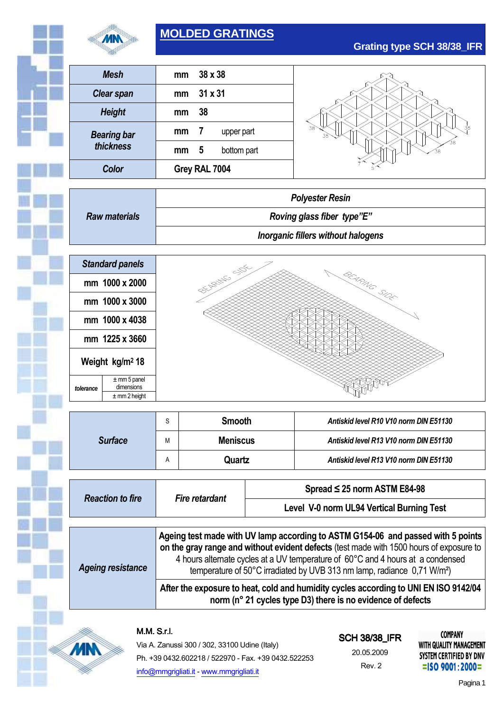

## **MOLDED GRATINGS**

|                                 | <b>Mesh</b>            | mm                                 | 38 x 38          |                                        |  |
|---------------------------------|------------------------|------------------------------------|------------------|----------------------------------------|--|
|                                 | <b>Clear span</b>      | mm                                 | $31 \times 31$   |                                        |  |
|                                 | <b>Height</b>          | mm                                 | 38               |                                        |  |
| <b>Bearing bar</b><br>thickness |                        | mm                                 | 7<br>upper part  |                                        |  |
|                                 |                        | mm                                 | 5<br>bottom part |                                        |  |
|                                 | Color                  |                                    | Grey RAL 7004    |                                        |  |
|                                 |                        |                                    |                  | <b>Polyester Resin</b>                 |  |
| <b>Raw materials</b>            |                        |                                    |                  |                                        |  |
|                                 |                        | Roving glass fiber type"E"         |                  |                                        |  |
|                                 |                        | Inorganic fillers without halogens |                  |                                        |  |
|                                 | <b>Standard panels</b> |                                    |                  |                                        |  |
| mm 1000 x 2000                  |                        | DECISION STATES<br>BEARNE SIDE     |                  |                                        |  |
|                                 | mm 1000 x 3000         |                                    |                  |                                        |  |
| mm 1000 x 4038                  |                        |                                    |                  |                                        |  |
| mm 1225 x 3660                  |                        |                                    |                  |                                        |  |
| Weight kg/m <sup>2</sup> 18     |                        |                                    |                  |                                        |  |
|                                 |                        |                                    |                  |                                        |  |
|                                 | $±$ mm 2 height        |                                    |                  |                                        |  |
|                                 |                        | S                                  | <b>Smooth</b>    | Antiskid level R10 V10 norm DIN E51130 |  |
|                                 |                        |                                    |                  |                                        |  |

|                |   | <b>Smooth</b>   | Antiskid level R10 V10 norm DIN E51130 |  |
|----------------|---|-----------------|----------------------------------------|--|
| <b>Surface</b> | М | <b>Meniscus</b> | Antiskid level R13 V10 norm DIN E51130 |  |
|                |   | Quartz          | Antiskid level R13 V10 norm DIN E51130 |  |

| <b>Reaction to fire</b>  | <b>Fire retardant</b>                                                                                                                                                                                                                                                                                                                                 | Spread ≤ 25 norm ASTM E84-98              |  |  |  |
|--------------------------|-------------------------------------------------------------------------------------------------------------------------------------------------------------------------------------------------------------------------------------------------------------------------------------------------------------------------------------------------------|-------------------------------------------|--|--|--|
|                          |                                                                                                                                                                                                                                                                                                                                                       | Level V-0 norm UL94 Vertical Burning Test |  |  |  |
|                          |                                                                                                                                                                                                                                                                                                                                                       |                                           |  |  |  |
| <b>Ageing resistance</b> | Ageing test made with UV lamp according to ASTM G154-06 and passed with 5 points<br>on the gray range and without evident defects (test made with 1500 hours of exposure to<br>4 hours alternate cycles at a UV temperature of 60°C and 4 hours at a condensed<br>temperature of 50°C irradiated by UVB 313 nm lamp, radiance 0,71 W/m <sup>2</sup> ) |                                           |  |  |  |
|                          | After the exposure to heat, cold and humidity cycles according to UNI EN ISO 9142/04<br>norm (n° 21 cycles type D3) there is no evidence of defects                                                                                                                                                                                                   |                                           |  |  |  |



**MN** 

Via A. Zanussi 300 / 302, 33100 Udine (Italy) Ph. +39 0432.602218 / 522970 - Fax. +39 0432.522253 info@mmgrigliati.it - www.mmgrigliati.it

# SCH 38/38\_IFR